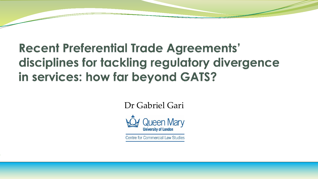# **Recent Preferential Trade Agreements'** disciplines for tackling regulatory divergence in services: how far beyond GATS?

Dr Gabriel Gari



Centre for Commercial Law Studies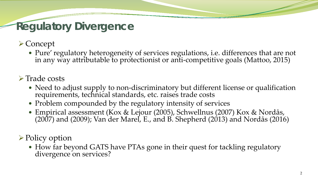### **Regulatory Divergence**

**≻Concept** 

Pure' regulatory heterogeneity of services regulations, i.e. differences that are not in any way attributable to protectionist or anti-competitive goals (Mattoo, 2015)

#### $\triangleright$  Trade costs

- Need to adjust supply to non-discriminatory but different license or qualification requirements, technical standards, etc. raises trade costs
- Problem compounded by the regulatory intensity of services
- Empirical assessment (Kox & Lejour (2005), Schwellnus (2007) Kox & Nordås, (2007) and (2009); Van der Marel, E., and B. Shepherd (2013) and Nordås (2016)

#### **► Policy option**

• How far beyond GATS have PTAs gone in their quest for tackling regulatory divergence on services?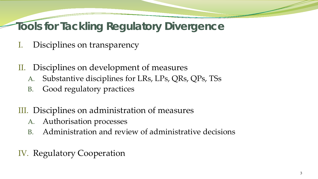### **Tools for Tackling Regulatory Divergence**

- I. Disciplines on transparency
- II. Disciplines on development of measures
	- A. Substantive disciplines for LRs, LPs, QRs, QPs, TSs
	- B. Good regulatory practices
- III. Disciplines on administration of measures
	- A. Authorisation processes
	- B. Administration and review of administrative decisions
- IV. Regulatory Cooperation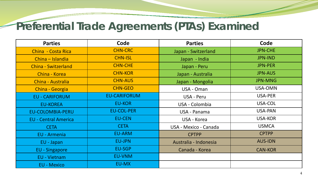#### **Preferential Trade Agreements (PTAs) Examined**

| <b>Parties</b>              | Code                | <b>Parties</b>        | Code           |
|-----------------------------|---------------------|-----------------------|----------------|
| China - Costa Rica          | <b>CHN-CRC</b>      | Japan - Switzerland   | <b>JPN-CHE</b> |
| China - Islandia            | <b>CHN-ISL</b>      | Japan - India         | <b>JPN-IND</b> |
| <b>China - Switzerland</b>  | <b>CHN-CHE</b>      | Japan - Peru          | <b>JPN-PER</b> |
| China - Korea               | <b>CHN-KOR</b>      | Japan - Australia     | <b>JPN-AUS</b> |
| China - Australia           | <b>CHN-AUS</b>      | Japan - Mongolia      | <b>JPN-MNG</b> |
| China - Georgia             | <b>CHN-GEO</b>      | USA - Oman            | USA-OMN        |
| <b>EU - CARIFORUM</b>       | <b>EU-CARIFORUM</b> | USA - Peru            | USA-PER        |
| <b>EU-KOREA</b>             | <b>EU-KOR</b>       | USA - Colombia        | USA-COL        |
| <b>EU-COLOMBIA-PERU</b>     | <b>EU-COL-PER</b>   | USA - Panama          | USA-PAN        |
| <b>EU - Central America</b> | <b>EU-CEN</b>       | USA - Korea           | <b>USA-KOR</b> |
| <b>CETA</b>                 | <b>CETA</b>         | USA - Mexico - Canada | <b>USMCA</b>   |
| <b>EU - Armenia</b>         | EU-ARM              | <b>CPTPP</b>          | <b>CPTPP</b>   |
| EU - Japan                  | <b>EU-JPN</b>       | Australia - Indonesia | <b>AUS-IDN</b> |
| <b>EU - Singapore</b>       | EU-SGP              | Canada - Korea        | <b>CAN-KOR</b> |
| EU - Vietnam                | <b>EU-VNM</b>       |                       |                |
| <b>EU - Mexico</b>          | EU-MX               |                       |                |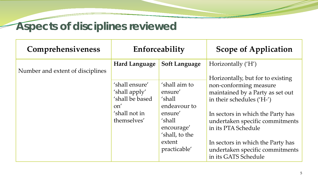## **Aspects of disciplines reviewed**

| <b>Comprehensiveness</b>         |                                                           | Enforceability                                     | <b>Scope of Application</b>                                                                  |  |  |  |  |
|----------------------------------|-----------------------------------------------------------|----------------------------------------------------|----------------------------------------------------------------------------------------------|--|--|--|--|
| Number and extent of disciplines | Hard Language                                             | <b>Soft Language</b>                               | Horizontally ('H')<br>Horizontally, but for to existing                                      |  |  |  |  |
|                                  | 'shall ensure'<br>'shall apply'<br>'shall be based<br>on' | 'shall aim to<br>ensure'<br>'shall<br>endeavour to | non-conforming measure<br>maintained by a Party as set out<br>in their schedules ('H-')      |  |  |  |  |
|                                  | 'shall not in<br>themselves'                              | ensure'<br>'shall<br>encourage'<br>'shall, to the  | In sectors in which the Party has<br>undertaken specific commitments<br>in its PTA Schedule  |  |  |  |  |
|                                  |                                                           | extent<br>practicable'                             | In sectors in which the Party has<br>undertaken specific commitments<br>in its GATS Schedule |  |  |  |  |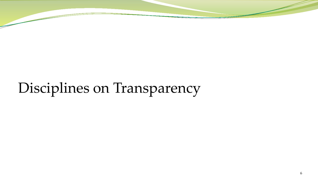# Disciplines on Transparency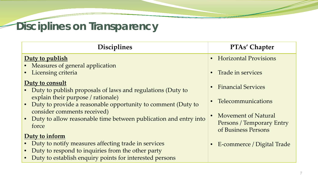# **Disciplines on Transparency**

| <b>Disciplines</b>                                                                                   | <b>PTAs' Chapter</b>                             |
|------------------------------------------------------------------------------------------------------|--------------------------------------------------|
| Duty to publish                                                                                      | <b>Horizontal Provisions</b>                     |
| • Measures of general application                                                                    |                                                  |
| • Licensing criteria                                                                                 | Trade in services<br>$\bullet$                   |
| Duty to consult                                                                                      | <b>Financial Services</b>                        |
| • Duty to publish proposals of laws and regulations (Duty to                                         |                                                  |
| explain their purpose / rationale)<br>• Duty to provide a reasonable opportunity to comment (Duty to | Telecommunications                               |
| consider comments received)                                                                          |                                                  |
| Duty to allow reasonable time between publication and entry into                                     | Movement of Natural                              |
| force                                                                                                | Persons / Temporary Entry<br>of Business Persons |
| Duty to inform                                                                                       |                                                  |
| Duty to notify measures affecting trade in services                                                  | E-commerce / Digital Trade<br>$\bullet$          |
| Duty to respond to inquiries from the other party                                                    |                                                  |
| Duty to establish enquiry points for interested persons                                              |                                                  |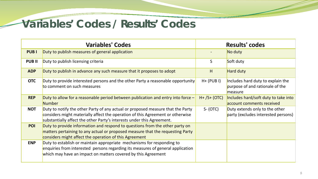#### **Variables' Codes / Results' Codes**

|              | <b>Variables' Codes</b>                                                                                                                                                                                                                     |                | <b>Results' codes</b>                                                           |
|--------------|---------------------------------------------------------------------------------------------------------------------------------------------------------------------------------------------------------------------------------------------|----------------|---------------------------------------------------------------------------------|
| <b>PUBI</b>  | Duty to publish measures of general application                                                                                                                                                                                             |                | No duty                                                                         |
| <b>PUBII</b> | Duty to publish licensing criteria                                                                                                                                                                                                          | S.             | Soft duty                                                                       |
| <b>ADP</b>   | Duty to publish in advance any such measure that it proposes to adopt                                                                                                                                                                       | H              | Hard duty                                                                       |
| <b>OTC</b>   | Duty to provide interested persons and the other Party a reasonable opportunity<br>to comment on such measures                                                                                                                              | $H+$ (PUB I)   | Includes hard duty to explain the<br>purpose of and rationale of the<br>measure |
| <b>REP</b>   | Duty to allow for a reasonable period between publication and entry into force $-$<br>Number                                                                                                                                                | $H+ /S+ (OTC)$ | Includes hard/soft duty to take into<br>account comments received               |
| <b>NOT</b>   | Duty to notify the other Party of any actual or proposed measure that the Party<br>considers might materially affect the operation of this Agreement or otherwise<br>substantially affect the other Party's interests under this Agreement. | $S-(OTC)$      | Duty extends only to the other<br>party (excludes interested persons)           |
| <b>POI</b>   | Duty to provide information and respond to questions from the other party on<br>matters pertaining to any actual or proposed measure that the requesting Party<br>considers might affect the operation of this Agreement                    |                |                                                                                 |
| <b>ENP</b>   | Duty to establish or maintain appropriate mechanisms for responding to<br>enquiries from interested persons regarding its measures of general application<br>which may have an impact on matters covered by this Agreement                  |                |                                                                                 |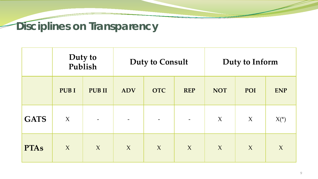# **Disciplines on Transparency**

|             | <b>Duty to<br/>Publish</b> |                          |                                        | <b>Duty to Consult</b> |        | Duty to Inform |     |            |  |
|-------------|----------------------------|--------------------------|----------------------------------------|------------------------|--------|----------------|-----|------------|--|
|             | <b>PUBI</b>                | <b>PUBII</b>             | <b>OTC</b><br><b>ADV</b><br><b>REP</b> |                        |        | <b>NOT</b>     | POI | <b>ENP</b> |  |
| <b>GATS</b> | $\chi$                     | $\overline{\phantom{m}}$ |                                        |                        |        | $\chi$         | X   | $X*$       |  |
| <b>PTAs</b> | X                          | X                        | $\mathbf{X}$                           | $\chi$                 | $\chi$ | $\chi$         | X   | $\chi$     |  |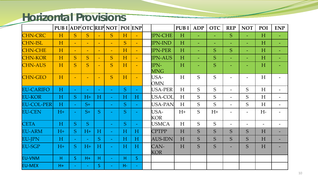#### **Horizontal Provisions**

|                   | <b>PUB I ADPOTCREP NOT POI ENP</b> |                          |                          |              |                          |      |                |                           | <b>PUBI</b> | <b>ADP</b> | <b>OTC</b>               | <b>REP</b>               | <b>NOT</b>               | POI  | <b>ENP</b>               |
|-------------------|------------------------------------|--------------------------|--------------------------|--------------|--------------------------|------|----------------|---------------------------|-------------|------------|--------------------------|--------------------------|--------------------------|------|--------------------------|
| <b>CHN-CRC</b>    | H                                  | S                        | <sub>S</sub>             | $\equiv$     | <sub>S</sub>             | H    | $\equiv$       | <b>JPN-CHE</b>            | H           | $\equiv$   | $\equiv$                 | S.                       | $\equiv$                 | H    |                          |
| <b>CHN-ISL</b>    | H                                  | $\blacksquare$           | $\blacksquare$           | $\equiv$     | $\blacksquare$           | S    | $\equiv$       | <b>JPN-IND</b>            | H           | $\equiv$   | $\overline{\phantom{m}}$ |                          | $\equiv$                 | H    | $\overline{\phantom{m}}$ |
| <b>CHN-CHE</b>    | H                                  | $\equiv$                 | $\overline{\phantom{m}}$ | $\equiv$     | $\overline{\phantom{m}}$ | H    | $\equiv$       | <b>JPN-PER</b>            | H           | $\equiv$   | S                        | S.                       | $\equiv$                 | H    | $\overline{\phantom{m}}$ |
| <b>CHN-KOR</b>    | H                                  | S                        | S.                       | $\equiv$     | S                        | H    | $\equiv$       | <b>IPN-AUS</b>            | H           | Ξ.         | S                        |                          | ۰                        | H    | $\overline{\phantom{m}}$ |
| <b>CHN-AUS</b>    | H                                  | S.                       | S                        |              | S                        | H    | $\blacksquare$ | <b>IPN-</b><br><b>MNG</b> | H           | ۳          | S                        |                          |                          | H    |                          |
| <b>CHN-GEO</b>    | H                                  | $\overline{\phantom{0}}$ |                          |              | S                        | H    | $\equiv$       | USA-<br><b>OMN</b>        | H           | S          | S                        |                          |                          | H    |                          |
| <b>EU-CARIFO</b>  | H                                  | $\overline{\phantom{m}}$ |                          |              | $\equiv$                 | S.   | $\equiv$       | USA-PER                   | H           | S          | S                        |                          | S                        | H    | $\overline{\phantom{a}}$ |
| <b>EU-KOR</b>     | H                                  | S.                       | $H+$                     | H            | $\overline{\phantom{m}}$ | H    | H              | USA-COL                   | H           | S          | S                        | $\overline{\phantom{0}}$ | S                        | H    | $\overline{\phantom{0}}$ |
| <b>EU-COL-PER</b> | H                                  | $\equiv$                 | $S+$                     |              | $\equiv$                 | S    | $\rightarrow$  | USA-PAN                   | H           | S          | S                        | $\qquad \qquad =$        | S                        | H    | $-$                      |
| <b>EU-CEN</b>     | $H+$                               |                          | $S+$                     | S.           |                          | S    |                | USA-<br><b>KOR</b>        | $H+$        | S          | $H+$                     |                          |                          | $H-$ |                          |
| <b>CETA</b>       | H                                  | S.                       | S.                       |              | $\overline{\phantom{a}}$ | S    | $\equiv$       | <b>USMCA</b>              | H           | S          | S                        |                          | $\overline{\phantom{0}}$ | $-$  |                          |
| <b>EU-ARM</b>     | $H+$                               | S                        | $H+$                     | H            | $\equiv$                 | H    | H              | <b>CPTPP</b>              | H           | S          | S                        | S.                       | S                        | H    |                          |
| <b>EU-JPN</b>     | H                                  | $\equiv$                 | $\equiv$                 | <sub>S</sub> | $\equiv$                 | H    | H              | <b>AUS-IDN</b>            | H           | S          | S                        | S                        | S                        | H    |                          |
| <b>EU-SGP</b>     | $H^+$                              | S.                       | $H+$                     | H            |                          | H    | H              | CAN-<br><b>KOR</b>        | H           | S.         | S.                       |                          | S                        | H    |                          |
| <b>EU-VNM</b>     | H                                  | S                        | $H +$                    | H            | $\rightarrow$            | H    | S              |                           |             |            |                          |                          |                          |      |                          |
| <b>EU-MEX</b>     | $H+$                               |                          | $\blacksquare$           | S            |                          | $H-$ | $\sim$         |                           |             |            |                          |                          |                          |      |                          |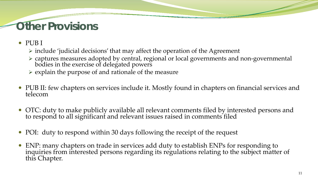## **Other Provisions**

- PUB I
	- $\triangleright$  include 'judicial decisions' that may affect the operation of the Agreement
	- captures measures adopted by central, regional or local governments and non-governmental bodies in the exercise of delegated powers
	- $\triangleright$  explain the purpose of and rationale of the measure
- PUB II: few chapters on services include it. Mostly found in chapters on financial services and telecom
- OTC: duty to make publicly available all relevant comments filed by interested persons and to respond to all significant and relevant issues raised in comments filed
- POI: duty to respond within 30 days following the receipt of the request
- ENP: many chapters on trade in services add duty to establish ENPs for responding to inquiries from interested persons regarding its regulations relating to the subject matter of this Chapter.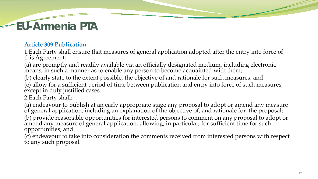### **EU-Armenia PTA**

#### **Article 309 Publication**

1.Each Party shall ensure that measures of general application adopted after the entry into force of this Agreement:

(a) are promptly and readily available via an officially designated medium, including electronic means, in such a manner as to enable any person to become acquainted with them;

(b) clearly state to the extent possible, the objective of and rationale for such measures; and (c) allow for a sufficient period of time between publication and entry into force of such measures, except in duly justified cases.

2.Each Party shall:

(a) endeavour to publish at an early appropriate stage any proposal to adopt or amend any measure of general application, including an explanation of the objective of, and rationale for, the proposal; (b) provide reasonable opportunities for interested persons to comment on any proposal to adopt or amend any measure of general application, allowing, in particular, for sufficient time for such opportunities; and

(c) endeavour to take into consideration the comments received from interested persons with respect to any such proposal.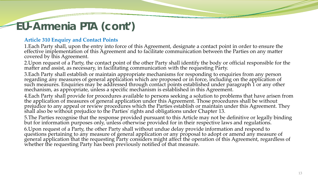## **EU-Armenia PTA (cont')**

#### **Article 310 Enquiry and Contact Points**

1.Each Party shall, upon the entry into force of this Agreement, designate a contact point in order to ensure the effective implementation of this Agreement and to facilitate communication between the Parties on any matter covered by this Agreement.

2.Upon request of a Party, the contact point of the other Party shall identify the body or official responsible for the matter and assist, as necessary, in facilitating communication with the requesting Party.

3.Each Party shall establish or maintain appropriate mechanisms for responding to enquiries from any person regarding any measures of general application which are proposed or in force, including on the application of such measures. Enquiries may be addressed through contact points established under paragraph 1 or any other mechanism, as appropriate, unless a specific mechanism is established in this Agreement.

4.Each Party shall provide for procedures available to persons seeking a solution to problems that have arisen from the application of measures of general application under this Agreement. Those procedures shall be without prejudice to any appeal or review procedures which the Parties establish or maintain under this Agreement. They shall also be without prejudice to the Parties' rights and obligations under Chapter 13.

5.The Parties recognise that the response provided pursuant to this Article may not be definitive or legally binding but for information purposes only, unless otherwise provided for in their respective laws and regulations.

6.Upon request of a Party, the other Party shall without undue delay provide information and respond to questions pertaining to any measure of general application or any proposal to adopt or amend any measure of general application that the requesting Party considers might affect the operation of this Agreement, regardless of whether the requesting Party has been previously notified of that measure.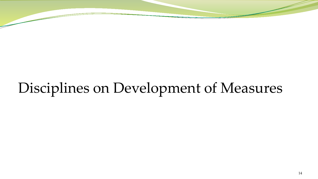# Disciplines on Development of Measures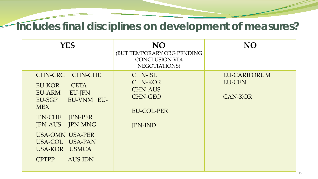#### **Includes final disciplines on development of measures?**

| <b>YES</b>                                                                                                                                                                                                                                             | <b>NO</b><br>(BUT TEMPORARY OBG PENDING<br><b>CONCLUSION VI.4</b><br>NEGOTIATIONS)                          | <b>NO</b>                                              |
|--------------------------------------------------------------------------------------------------------------------------------------------------------------------------------------------------------------------------------------------------------|-------------------------------------------------------------------------------------------------------------|--------------------------------------------------------|
| CHN-CRC CHN-CHE<br><b>CETA</b><br>EU-KOR<br>EU-ARM<br>EU-JPN<br>EU-SGP<br>EU-VNM EU-<br><b>MEX</b><br><b>IPN-CHE IPN-PER</b><br><b>IPN-AUS IPN-MNG</b><br><b>USA-OMN USA-PER</b><br>USA-COL USA-PAN<br>USA-KOR USMCA<br><b>CPTPP</b><br><b>AUS-IDN</b> | <b>CHN-ISL</b><br><b>CHN-KOR</b><br><b>CHN-AUS</b><br><b>CHN-GEO</b><br><b>EU-COL-PER</b><br><b>JPN-IND</b> | <b>EU-CARIFORUM</b><br><b>EU-CEN</b><br><b>CAN-KOR</b> |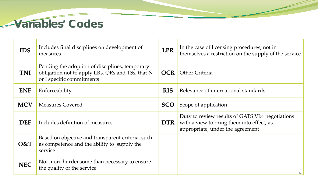

| <b>IDS</b> | Includes final disciplines on development of<br>measures                                                                        | <b>LPR</b> | In the case of licensing procedures, not in<br>themselves a restriction on the supply of the service                              |
|------------|---------------------------------------------------------------------------------------------------------------------------------|------------|-----------------------------------------------------------------------------------------------------------------------------------|
| <b>TNI</b> | Pending the adoption of disciplines, temporary<br>obligation not to apply LRs, QRs and TSs, that N<br>or I specific commitments | <b>OCR</b> | <b>Other Criteria</b>                                                                                                             |
| <b>ENF</b> | Enforceability                                                                                                                  | <b>RIS</b> | Relevance of international standards                                                                                              |
| <b>MCV</b> | <b>Measures Covered</b>                                                                                                         | <b>SCO</b> | Scope of application                                                                                                              |
| <b>DEF</b> | Includes definition of measures                                                                                                 | <b>DTR</b> | Duty to review results of GATS VI:4 negotiations<br>with a view to bring them into effect, as<br>appropriate, under the agreement |
| O&T        | Based on objective and transparent criteria, such<br>as competence and the ability to supply the<br>service                     |            |                                                                                                                                   |
| <b>NEC</b> | Not more burdensome than necessary to ensure<br>the quality of the service                                                      |            | 16                                                                                                                                |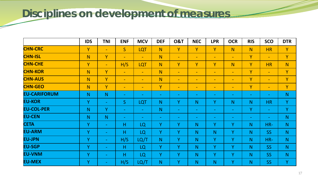### **Disciplines on development of measures**

|                     | <b>IDS</b> | <b>TNI</b>               | <b>ENF</b>     | <b>MCV</b>               | <b>DEF</b>     | <b>0&amp;T</b>           | <b>NEC</b>               | <b>LPR</b>               | <b>OCR</b>               | <b>RIS</b>               | <b>SCO</b>               | <b>DTR</b>     |
|---------------------|------------|--------------------------|----------------|--------------------------|----------------|--------------------------|--------------------------|--------------------------|--------------------------|--------------------------|--------------------------|----------------|
| <b>CHN-CRC</b>      | Y          | $\blacksquare$           | S              | LQT                      | N <sub>1</sub> | Y                        | Y                        | Y                        | N                        | N                        | <b>HR</b>                | Y              |
| <b>CHN-ISL</b>      | N          | Y                        | $\equiv$       | $\overline{\phantom{a}}$ | N <sub>1</sub> | $\blacksquare$           | $\blacksquare$           | $\overline{\phantom{m}}$ | $\blacksquare$           | Y                        | $\blacksquare$           | $\mathbf{Y}$   |
| <b>CHN-CHE</b>      | Y          | $\equiv$                 | H/S            | LQT                      | N              | Y                        | Y                        | Y                        | N                        | Y                        | <b>HR</b>                | N.             |
| <b>CHN-KOR</b>      | N          | Y                        | $\equiv$       | $\equiv$                 | N <sub>1</sub> | $\overline{\phantom{m}}$ | $\overline{\phantom{m}}$ | $\overline{\phantom{a}}$ | $\overline{\phantom{a}}$ | Y                        | $\equiv$                 | Y              |
| <b>CHN-AUS</b>      | N          | Ÿ                        | $\blacksquare$ | $\overline{\phantom{a}}$ | N              | $\overline{\phantom{m}}$ | $\overline{\phantom{a}}$ | $\overline{\phantom{a}}$ | $\overline{\phantom{a}}$ | Y                        | $\overline{\phantom{m}}$ | Y              |
| <b>CHN-GEO</b>      | N          | Y                        | $\blacksquare$ | $\overline{\phantom{a}}$ | Y              | $\overline{\phantom{m}}$ | $\overline{\phantom{m}}$ | $\blacksquare$           | $\blacksquare$           | Y                        | $\blacksquare$           | Y              |
| <b>EU-CARIFORUM</b> | N          | N                        | $\blacksquare$ | $\overline{\phantom{m}}$ | $\sim$         | $\blacksquare$           | $\overline{\phantom{m}}$ | ٠                        | $\blacksquare$           | $\blacksquare$           | ۰.                       | N              |
| <b>EU-KOR</b>       | Y          | $\sim$                   | S              | <b>LQT</b>               | N              | Y                        | N                        | Y                        | N                        | N <sub>1</sub>           | <b>HR</b>                | Y              |
| <b>EU-COL-PER</b>   | N.         | Y                        | $\sim$         | $\equiv$                 | N              | $\rightarrow$            | $\overline{\phantom{a}}$ | $\overline{\phantom{a}}$ | $\equiv$                 | Y                        | $\equiv$                 | Y              |
| <b>EU-CEN</b>       | N          | N                        | $\blacksquare$ | $\overline{\phantom{m}}$ | $\sim$         | $\blacksquare$           | $\overline{\phantom{m}}$ | ۰.                       | $\blacksquare$           | $\overline{\phantom{m}}$ | $\blacksquare$           | N              |
| <b>CETA</b>         | Y          | $\sim$                   | H              | LQ                       | Y              | Y                        | N                        | Y                        | Y                        | N                        | HR-                      | N <sub>1</sub> |
| <b>EU-ARM</b>       | Y          | $\blacksquare$           | H              | <b>LQ</b>                | Y              | $\overline{Y}$           | N                        | N.                       | Y                        | N                        | <b>SS</b>                | N <sub>1</sub> |
| <b>EU-JPN</b>       | Y          |                          | H/S            | LQ/T                     | N              | Y                        | N                        | Y                        | Y                        | N <sub>1</sub>           | HR-                      | N <sub>1</sub> |
| <b>EU-SGP</b>       | Y          |                          | H              | LQ                       | Y              | $\mathbf{Y}$             | N                        | Y                        | Ÿ                        | N                        | <b>SS</b>                | N <sub>1</sub> |
| <b>EU-VNM</b>       | Y          | $\sim$                   | H              | LQ                       | Y              | Y                        | N                        | Y                        | Y                        | N                        | <b>SS</b>                | N <sub>1</sub> |
| <b>EU-MEX</b>       | Y          | $\overline{\phantom{m}}$ | H/S            | LQ/T                     | N.             | Y                        | N                        | N                        | Y                        | N <sub>1</sub>           | <b>SS</b>                | Y              |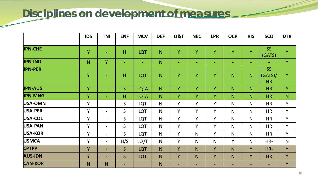### **Disciplines on development of measures**

|                | <b>IDS</b>     | <b>TNI</b>               | <b>ENF</b>     | <b>MCV</b>    | <b>DEF</b>     | <b>0&amp;T</b>           | <b>NEC</b>              | <b>LPR</b>     | <b>OCR</b>               | <b>RIS</b>               | <b>SCO</b>                 | <b>DTR</b>     |
|----------------|----------------|--------------------------|----------------|---------------|----------------|--------------------------|-------------------------|----------------|--------------------------|--------------------------|----------------------------|----------------|
|                |                |                          |                |               |                |                          |                         |                |                          |                          |                            |                |
| <b>JPN-CHE</b> | Ÿ              | $\overline{\phantom{0}}$ | H              | LQT           | $\mathsf{N}$   | Y                        | Y                       | Ÿ              | Y                        | Y                        | SS<br>(GATS)               | Y              |
| <b>JPN-IND</b> | N.             | Y                        | $\equiv$       | $\rightarrow$ | N              | $\overline{\phantom{0}}$ | ٠                       | ٠              | $\overline{\phantom{0}}$ | $\overline{\phantom{0}}$ | $\blacksquare$             | Y              |
| <b>JPN-PER</b> | Ÿ              | $\overline{\phantom{0}}$ | H              | LQT           | N              | Y                        | Y                       | Y              | N                        | N                        | SS<br>(GATS)/<br><b>HR</b> | Y              |
| <b>JPN-AUS</b> | Ÿ              | $\equiv$                 | S              | <b>LQTA</b>   | N              | Y                        | Ÿ                       | $\overline{Y}$ | N                        | N                        | <b>HR</b>                  | $\overline{Y}$ |
| <b>JPN-MNG</b> | Ÿ              | $\blacksquare$           | H              | <b>LQTA</b>   | N <sub>1</sub> | Y                        | $\overline{\mathbf{Y}}$ | Y              | N                        | N                        | <b>HR</b>                  | N              |
| USA-OMN        | Y              | $\overline{\phantom{0}}$ | $\mathsf{S}$   | LQT           | N              | Y                        | Y                       | Y              | $\mathsf{N}$             | $\mathsf{N}$             | <b>HR</b>                  | Y              |
| USA-PER        | Y              | $\overline{\phantom{0}}$ | $\mathsf{S}$   | LQT           | N              | Y                        | Y                       | Y              | $\mathsf{N}$             | $\mathsf{N}$             | <b>HR</b>                  | Y              |
| USA-COL        | Y              | $\overline{\phantom{0}}$ | $\mathsf{S}$   | LQT           | N              | Y                        | Y                       | Y              | $\mathsf{N}$             | $\mathsf{N}$             | <b>HR</b>                  | Y              |
| USA-PAN        | Y              | $\overline{\phantom{0}}$ | $\mathsf{S}$   | LQT           | N              | Y                        | Y                       | Y              | $\mathsf{N}$             | $\mathsf{N}$             | <b>HR</b>                  | Y              |
| <b>USA-KOR</b> | Y              | $\overline{\phantom{0}}$ | $\mathsf{S}$   | LQT           | N              | Y                        | $\mathsf{N}$            | Y              | N                        | $\mathsf{N}$             | <b>HR</b>                  | Y              |
| <b>USMCA</b>   | Y              | $\blacksquare$           | H/S            | LQ/T          | N              | Y                        | $\mathsf{N}$            | N              | Y                        | $\mathsf{N}$             | HR-                        | N              |
| <b>CPTPP</b>   | Y              | $\overline{\phantom{0}}$ | S              | LQT           | N              | Y                        | N                       | Y              | N                        | Y                        | HR-                        | Y              |
| <b>AUS-IDN</b> | Y              | $\overline{\phantom{0}}$ | S              | <b>LQT</b>    | N              | Y                        | N                       | Y              | N                        | Y                        | <b>HR</b>                  | Y              |
| <b>CAN-KOR</b> | N <sub>1</sub> | N                        | $\blacksquare$ |               | N              | $\blacksquare$           | ٠                       | $\blacksquare$ | $\blacksquare$           | $\overline{\phantom{0}}$ | $\blacksquare$             | Y              |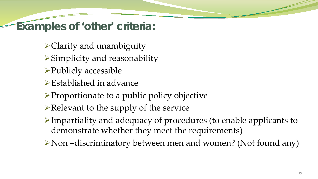**Examples of 'other' criteria:**

- $\triangle$  Clarity and unambiguity
- Simplicity and reasonability
- **≻Publicly accessible**
- $\triangleright$  Established in advance
- $\triangleright$  Proportionate to a public policy objective
- $\triangleright$  Relevant to the supply of the service
- Impartiality and adequacy of procedures (to enable applicants to demonstrate whether they meet the requirements)
- Non –discriminatory between men and women? (Not found any)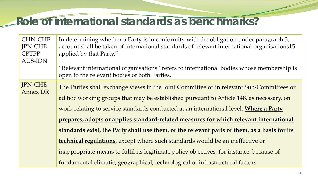### **Role of international standards as benchmarks?**

| <b>CHN-CHE</b><br><b>IPN-CHE</b><br><b>CPTPP</b><br><b>AUS-IDN</b> | In determining whether a Party is in conformity with the obligation under paragraph 3,<br>account shall be taken of international standards of relevant international organisations15<br>applied by that Party."<br>"Relevant international organisations" refers to international bodies whose membership is |  |  |  |  |  |  |
|--------------------------------------------------------------------|---------------------------------------------------------------------------------------------------------------------------------------------------------------------------------------------------------------------------------------------------------------------------------------------------------------|--|--|--|--|--|--|
|                                                                    | open to the relevant bodies of both Parties.                                                                                                                                                                                                                                                                  |  |  |  |  |  |  |
| <b>IPN-CHE</b><br><b>Annex DR</b>                                  | The Parties shall exchange views in the Joint Committee or in relevant Sub-Committees or                                                                                                                                                                                                                      |  |  |  |  |  |  |
|                                                                    | ad hoc working groups that may be established pursuant to Article 148, as necessary, on                                                                                                                                                                                                                       |  |  |  |  |  |  |
|                                                                    | work relating to service standards conducted at an international level. Where a Party                                                                                                                                                                                                                         |  |  |  |  |  |  |
|                                                                    | prepares, adopts or applies standard-related measures for which relevant international                                                                                                                                                                                                                        |  |  |  |  |  |  |
|                                                                    | standards exist, the Party shall use them, or the relevant parts of them, as a basis for its                                                                                                                                                                                                                  |  |  |  |  |  |  |
|                                                                    | technical regulations, except where such standards would be an ineffective or                                                                                                                                                                                                                                 |  |  |  |  |  |  |
|                                                                    | inappropriate means to fulfil its legitimate policy objectives, for instance, because of                                                                                                                                                                                                                      |  |  |  |  |  |  |
|                                                                    | fundamental climatic, geographical, technological or infrastructural factors.                                                                                                                                                                                                                                 |  |  |  |  |  |  |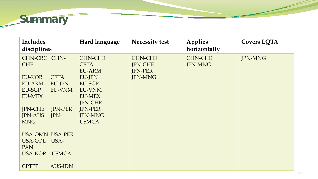

| Includes<br>disciplines          | Hard language  | <b>Necessity test</b> | Applies<br>horizontally | <b>Covers LQTA</b> |
|----------------------------------|----------------|-----------------------|-------------------------|--------------------|
| CHN-CRC CHN-                     | <b>CHN-CHE</b> | <b>CHN-CHE</b>        | <b>CHN-CHE</b>          | <b>JPN-MNG</b>     |
| <b>CHE</b>                       | <b>CETA</b>    | <b>JPN-CHE</b>        | <b>JPN-MNG</b>          |                    |
|                                  | <b>EU-ARM</b>  | <b>JPN-PER</b>        |                         |                    |
| EU-KOR<br><b>CETA</b>            | <b>EU-JPN</b>  | <b>JPN-MNG</b>        |                         |                    |
| EU-ARM<br>EU-JPN                 | EU-SGP         |                       |                         |                    |
| <b>EU-VNM</b><br>EU-SGP          | <b>EU-VNM</b>  |                       |                         |                    |
| <b>EU-MEX</b>                    | <b>EU-MEX</b>  |                       |                         |                    |
|                                  | <b>IPN-CHE</b> |                       |                         |                    |
| <b>JPN-CHE</b><br><b>JPN-PER</b> | <b>JPN-PER</b> |                       |                         |                    |
| <b>JPN-AUS</b><br>JPN-           | <b>JPN-MNG</b> |                       |                         |                    |
| <b>MNG</b>                       | <b>USMCA</b>   |                       |                         |                    |
|                                  |                |                       |                         |                    |
| <b>USA-OMN USA-PER</b>           |                |                       |                         |                    |
| USA-COL USA-                     |                |                       |                         |                    |
| <b>PAN</b>                       |                |                       |                         |                    |
| USA-KOR<br><b>USMCA</b>          |                |                       |                         |                    |
| <b>CPTPP</b><br><b>AUS-IDN</b>   |                |                       |                         |                    |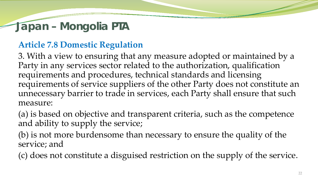### **Japan – Mongolia PTA**

#### **Article 7.8 Domestic Regulation**

3. With a view to ensuring that any measure adopted or maintained by a Party in any services sector related to the authorization, qualification requirements and procedures, technical standards and licensing requirements of service suppliers of the other Party does not constitute an unnecessary barrier to trade in services, each Party shall ensure that such measure:

(a) is based on objective and transparent criteria, such as the competence and ability to supply the service;

(b) is not more burdensome than necessary to ensure the quality of the service; and

(c) does not constitute a disguised restriction on the supply of the service.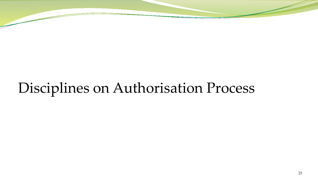# Disciplines on Authorisation Process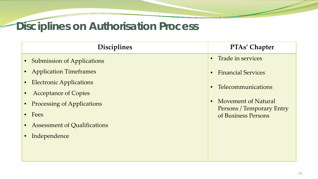# **Disciplines on Authorisation Process**

| <b>Disciplines</b>                               | <b>PTAs' Chapter</b>                             |
|--------------------------------------------------|--------------------------------------------------|
| <b>Submission of Applications</b><br>$\bullet$   | • Trade in services                              |
| <b>Application Timeframes</b><br>$\bullet$       | <b>Financial Services</b>                        |
| <b>Electronic Applications</b><br>$\bullet$      | Telecommunications<br>$\bullet$                  |
| <b>Acceptance of Copies</b><br>$\bullet$         |                                                  |
| <b>Processing of Applications</b><br>$\bullet$   | Movement of Natural<br>Persons / Temporary Entry |
| Fees<br>$\bullet$                                | of Business Persons                              |
| <b>Assessment of Qualifications</b><br>$\bullet$ |                                                  |
| Independence<br>$\bullet$                        |                                                  |
|                                                  |                                                  |
|                                                  |                                                  |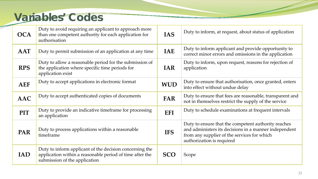#### **Variables' Codes**

| <b>OCA</b> | Duty to avoid requiring an applicant to approach more<br>than one competent authority for each application for<br>authorisation                      | <b>IAS</b> | Duty to inform, at request, about status of application                                                                                                                                  |
|------------|------------------------------------------------------------------------------------------------------------------------------------------------------|------------|------------------------------------------------------------------------------------------------------------------------------------------------------------------------------------------|
| <b>AAT</b> | Duty to permit submission of an application at any time                                                                                              | <b>IAE</b> | Duty to inform applicant and provide opportunity to<br>correct minor errors and omissions in the application                                                                             |
| <b>RPS</b> | Duty to allow a reasonable period for the submission of<br>the application where specific time periods for<br>application exist                      | <b>IAR</b> | Duty to inform, upon request, reasons for rejection of<br>application                                                                                                                    |
| <b>AEF</b> | Duty to accept applications in electronic format                                                                                                     | <b>WUD</b> | Duty to ensure that authorisation, once granted, enters<br>into effect without undue delay                                                                                               |
| <b>AAC</b> | Duty to accept authenticated copies of documents                                                                                                     | <b>FAR</b> | Duty to ensure that fees are reasonable, transparent and<br>not in themselves restrict the supply of the service                                                                         |
| <b>PIT</b> | Duty to provide an indicative timeframe for processing<br>an application                                                                             | <b>EFI</b> | Duty to schedule examinations at frequent intervals                                                                                                                                      |
| <b>PAR</b> | Duty to process applications within a reasonable<br>timeframe                                                                                        | <b>IFS</b> | Duty to ensure that the competent authority reaches<br>and administers its decisions in a manner independent<br>from any supplier of the services for which<br>authorization is required |
| <b>IAD</b> | Duty to inform applicant of the decision concerning the<br>application within a reasonable period of time after the<br>submission of the application | <b>SCO</b> | Scope                                                                                                                                                                                    |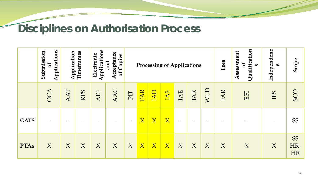#### **Disciplines on Authorisation Process**

|             | Applications<br>Submission<br>$\mathbf{b}$ | Application      | Timeframes | Applications<br>Acceptance<br>Electronic<br>of Copies<br>and |                          | <b>Processing of Applications</b> |              |              |                |                          |                          | Fees       | of<br>Qualification<br>Assessment<br>S | Independenc<br>$\mathbf \omega$ | Scope                         |     |
|-------------|--------------------------------------------|------------------|------------|--------------------------------------------------------------|--------------------------|-----------------------------------|--------------|--------------|----------------|--------------------------|--------------------------|------------|----------------------------------------|---------------------------------|-------------------------------|-----|
|             | $\blacktriangleleft$<br>SO                 | AT               | RPS        | AEF                                                          | AAC                      | PIT                               | PAR          | IAD          | BAI            | IAE                      | IAR                      | <b>AND</b> | FAR                                    | EFI                             | IFS                           | SCO |
| <b>GATS</b> |                                            |                  |            |                                                              | $\overline{\phantom{m}}$ | $\overline{\phantom{m}}$          | X            | $\mathbf{X}$ | $\overline{X}$ | $\overline{\phantom{m}}$ | $\overline{\phantom{0}}$ | -          |                                        |                                 |                               | SS  |
| <b>PTAs</b> | $\chi$                                     | $\boldsymbol{X}$ | $\chi$     | $\chi$                                                       | X                        | $\chi$                            | $\mathbf{X}$ | $\mathbf{X}$ | $\mathbf{X}$   | X<br>$\overline{X}$<br>X |                          | X          | X                                      | $\chi$                          | <b>SS</b><br>HR-<br><b>HR</b> |     |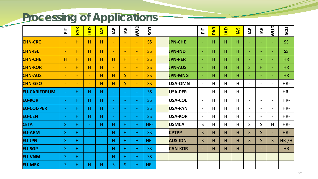### **Processing of Applications**

|                     | $\overline{P}$ | <b>PAR</b>               | $\begin{array}{c}\n\mathbf{Q} \\ \mathbf{M}\n\end{array}$ | <b>PAI</b>               | IAE                      | IAR                      | <b>AND</b>               | SCO             |                | $\overline{P}$           | <b>PAR</b> | $\begin{array}{c}\n\mathbf{Q} \\ \mathbf{M}\n\end{array}$ | $\overline{a}$ | IAE                      | IAR                      | <b>ANND</b>              | SCO       |
|---------------------|----------------|--------------------------|-----------------------------------------------------------|--------------------------|--------------------------|--------------------------|--------------------------|-----------------|----------------|--------------------------|------------|-----------------------------------------------------------|----------------|--------------------------|--------------------------|--------------------------|-----------|
| <b>CHN-CRC</b>      | $\blacksquare$ | H                        | H                                                         | H                        | $\overline{\phantom{a}}$ | $\overline{\phantom{m}}$ | $\blacksquare$           | <b>SS</b>       | <b>JPN-CHE</b> | $\overline{\phantom{a}}$ | H          | H                                                         | H              | $\blacksquare$           | $\overline{\phantom{a}}$ | $\sim$                   | <b>SS</b> |
| <b>CHN-ISL</b>      | $\equiv$       | H                        | H                                                         | H                        | $\equiv$                 | $\overline{\phantom{m}}$ | $\overline{\phantom{a}}$ | <b>SS</b>       | <b>JPN-IND</b> | $\blacksquare$           | н          | H.                                                        | H              | $\blacksquare$           | ٠                        | $\equiv$                 | <b>SS</b> |
| <b>CHN-CHE</b>      | H              | н                        | H                                                         | H                        | H                        | H                        | H                        | <b>SS</b>       | <b>JPN-PER</b> | $\blacksquare$           | Н          | H                                                         | H              | $\blacksquare$           | ۰                        | $\equiv$                 | <b>HR</b> |
| <b>CHN-KOR</b>      | $\blacksquare$ | Н                        | H                                                         | H                        | $\overline{\phantom{a}}$ | $\blacksquare$           | $\blacksquare$           | <b>SS</b>       | <b>JPN-AUS</b> | $\blacksquare$           | н          | H                                                         | H              | $\mathsf{S}$             | н                        | ÷                        | <b>HR</b> |
| <b>CHN-AUS</b>      | $\sim$         | $\overline{\phantom{a}}$ | $\blacksquare$                                            | H                        | H                        | S                        | $\blacksquare$           | <b>SS</b>       | <b>JPN-MNG</b> | $\overline{\phantom{a}}$ | Н          | H.                                                        | H              | $\blacksquare$           |                          | $\equiv$                 | <b>HR</b> |
| <b>CHN-GEO</b>      | $\sim$         | $\overline{\phantom{m}}$ | $\overline{\phantom{m}}$                                  | H                        | H                        | S                        | $\blacksquare$           | <b>SS</b>       | USA-OMN        | $\overline{\phantom{a}}$ | H          | H                                                         | H              | $\overline{\phantom{a}}$ |                          | $\overline{\phantom{a}}$ | HR-       |
| <b>EU-CARIFORUM</b> | $\sim$         | н                        | H                                                         | H                        | $\sim$                   | $\blacksquare$           | $\overline{\phantom{a}}$ | <b>SS</b>       | USA-PER        | $\overline{\phantom{a}}$ | H          | H                                                         | H              | $\overline{\phantom{a}}$ | $\overline{\phantom{0}}$ | $\overline{\phantom{a}}$ | HR-       |
| <b>EU-KOR</b>       | $\blacksquare$ | Н                        | H                                                         | H                        | $\sim$                   | $\blacksquare$           | $\overline{\phantom{a}}$ | <b>SS</b>       | USA-COL        | $\overline{\phantom{a}}$ | H          | H                                                         | H              | $\overline{\phantom{a}}$ |                          | $\overline{\phantom{a}}$ | HR-       |
| <b>EU-COL-PER</b>   | $\blacksquare$ | н                        | H                                                         | H                        | $\sim$                   | $\blacksquare$           | $\overline{\phantom{a}}$ | <b>SS</b>       | USA-PAN        | $\overline{\phantom{0}}$ | H          | H                                                         | H              | $\overline{\phantom{a}}$ |                          | $\overline{\phantom{a}}$ | HR-       |
| <b>EU-CEN</b>       | $\sim$         | н                        | H                                                         | H                        | $\sim$                   | $\rightarrow$            | $\overline{\phantom{a}}$ | <b>SS</b>       | USA-KOR        | $\overline{\phantom{a}}$ | H          | H                                                         | H              | $\overline{\phantom{a}}$ | $\overline{\phantom{0}}$ | $\overline{\phantom{a}}$ | HR-       |
| <b>CETA</b>         | S              | н                        | $\blacksquare$                                            | Η                        | н                        | H                        | Н                        | HR-             | <b>USMCA</b>   | $\mathsf{S}$             | H          | H                                                         | H              | $\mathsf{S}$             | S                        | H                        | HR-       |
| <b>EU-ARM</b>       | S              | Н                        | $\blacksquare$                                            | $\sim$                   | н                        | H                        | H                        | SS <sub>1</sub> | <b>CPTPP</b>   | $\mathsf{S}$             | H          | H.                                                        | H              | $\mathsf{S}$             | $\mathsf{S}$             | $\blacksquare$           | HR-       |
| <b>EU-JPN</b>       | S              | H.                       | $\overline{\phantom{a}}$                                  | $\overline{\phantom{a}}$ | н                        | H                        | H                        | HR-             | <b>AUS-IDN</b> | $\mathsf{S}$             | H          | H                                                         | H              | $\mathsf{S}$             | $\mathsf{S}$             | $S_{\cdot}$              | $HR$ -/H  |
| <b>EU-SGP</b>       | S              | н                        | $\blacksquare$                                            | $\overline{\phantom{a}}$ | H                        | H                        | H                        | SS <sub>1</sub> | <b>CAN-KOR</b> | $\overline{\phantom{a}}$ | H          | H.                                                        | H              | ٠                        |                          | $\blacksquare$           | <b>HR</b> |
| <b>EU-VNM</b>       | S              | н                        | $\overline{\phantom{a}}$                                  | $\sim$                   | H                        | H                        | H                        | <b>SS</b>       |                |                          |            |                                                           |                |                          |                          |                          |           |
| <b>EU-MEX</b>       | S              | н                        | H                                                         | н                        | S                        | S                        | Н                        | HR-             |                |                          |            |                                                           |                |                          |                          |                          |           |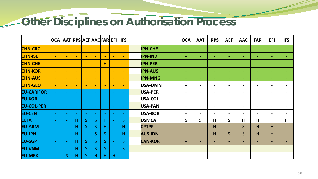#### **Other Disciplines on Authorisation Process**

|                   | <b>OCA</b>                   |                          | AAT RPS AEF AAC FAR EFI  |                          |                          |                          |                          | <b>IFS</b>               |                | <b>OCA</b>               | <b>AAT</b>               | <b>RPS</b>               | <b>AEF</b>               | <b>AAC</b>               | <b>FAR</b>                   | <b>EFI</b>               | <b>IFS</b>               |
|-------------------|------------------------------|--------------------------|--------------------------|--------------------------|--------------------------|--------------------------|--------------------------|--------------------------|----------------|--------------------------|--------------------------|--------------------------|--------------------------|--------------------------|------------------------------|--------------------------|--------------------------|
| <b>CHN-CRC</b>    | $\blacksquare$               | $\overline{\phantom{m}}$ | $\overline{\phantom{m}}$ | $\overline{\phantom{0}}$ | $\overline{\phantom{a}}$ | $\overline{\phantom{m}}$ | $\sim$                   | $\blacksquare$           | <b>JPN-CHE</b> | $\overline{\phantom{a}}$ | $\overline{\phantom{0}}$ | $\overline{\phantom{0}}$ | $\sim$                   | $\sim$                   | ٠                            | $\sim$                   | $\sim$                   |
| <b>CHN-ISL</b>    | $\overline{\phantom{m}}$     | $\overline{\phantom{0}}$ | $\overline{\phantom{a}}$ | $\overline{\phantom{0}}$ | $\overline{\phantom{0}}$ | $\blacksquare$           | $\overline{\phantom{0}}$ | $\blacksquare$           | <b>JPN-IND</b> | $\overline{\phantom{a}}$ | $\overline{\phantom{a}}$ | $\overline{\phantom{a}}$ | $\sim$                   | $\sim$                   | $\sim$                       | $\sim$                   | $\overline{\phantom{a}}$ |
| <b>CHN-CHE</b>    | $\overline{\phantom{0}}$     | $\overline{\phantom{0}}$ | $\blacksquare$           | $\overline{\phantom{0}}$ | $\equiv$                 | H                        | $\overline{\phantom{0}}$ | $\overline{\phantom{a}}$ | <b>JPN-PER</b> | ٠                        | ٠                        | $\overline{\phantom{0}}$ | $\overline{\phantom{0}}$ | $\overline{\phantom{0}}$ | $\equiv$                     | $\overline{\phantom{0}}$ | ٠                        |
| <b>CHN-KOR</b>    | $\overline{\phantom{a}}$     | $\equiv$                 | $\equiv$                 | $\overline{\phantom{0}}$ | $\equiv$                 | $\equiv$                 | $\overline{\phantom{0}}$ | $\equiv$                 | <b>JPN-AUS</b> | $\overline{\phantom{0}}$ | $\overline{\phantom{a}}$ | $\overline{\phantom{0}}$ | $\overline{\phantom{a}}$ | $\overline{\phantom{a}}$ | $\sim$                       | $\sim$                   |                          |
| <b>CHN-AUS</b>    | $\overline{\phantom{m}}$     | $\overline{\phantom{0}}$ | $\overline{\phantom{m}}$ | $\overline{\phantom{0}}$ | $\overline{\phantom{0}}$ | $\overline{\phantom{a}}$ | $\overline{\phantom{0}}$ | $\blacksquare$           | <b>JPN-MNG</b> | $\overline{\phantom{0}}$ | $\overline{\phantom{0}}$ | $\overline{\phantom{0}}$ | $\overline{\phantom{0}}$ | ۰                        | ٠                            | $\overline{\phantom{a}}$ | $\overline{\phantom{0}}$ |
| <b>CHN-GEO</b>    | $\blacksquare$               | $\overline{\phantom{m}}$ | $\overline{\phantom{m}}$ | $\overline{\phantom{0}}$ | $\blacksquare$           | $\overline{\phantom{m}}$ | $\sim$                   | $\blacksquare$           | USA-OMN        | $\overline{\phantom{a}}$ | $\overline{\phantom{0}}$ | $\overline{\phantom{a}}$ | $\overline{\phantom{a}}$ | $\overline{\phantom{a}}$ | $\overline{\phantom{0}}$     | $\overline{\phantom{a}}$ | $\overline{\phantom{0}}$ |
| <b>EU-CARIFOR</b> | $\blacksquare$               | $\overline{\phantom{0}}$ | $\sim$                   |                          | $\overline{\phantom{a}}$ | $\sim$                   | $\overline{\phantom{a}}$ | $\sim$                   | USA-PER        | $\overline{\phantom{a}}$ | $\qquad \qquad$          | $\overline{\phantom{a}}$ | $\overline{\phantom{a}}$ | $\overline{\phantom{a}}$ | $\overline{\phantom{0}}$     | $\overline{\phantom{a}}$ | $\overline{\phantom{0}}$ |
| <b>EU-KOR</b>     | $\overline{\phantom{m}}$     | $\overline{\phantom{a}}$ | $\sim$                   |                          | $\overline{\phantom{a}}$ | $\rightarrow$            | $\overline{\phantom{a}}$ | $\sim$                   | USA-COL        | $\overline{\phantom{a}}$ | $\overline{\phantom{0}}$ | $\overline{\phantom{0}}$ | $\overline{\phantom{a}}$ | $\overline{\phantom{0}}$ | $\overline{\phantom{a}}$     | $\overline{\phantom{a}}$ |                          |
| <b>EU-COL-PER</b> | $\overline{\phantom{m}}$     | $\overline{\phantom{0}}$ | $\overline{\phantom{a}}$ |                          | $\overline{\phantom{a}}$ | $\equiv$                 | $\overline{\phantom{a}}$ | $\sim$                   | USA-PAN        | $\overline{\phantom{a}}$ | $\overline{\phantom{0}}$ | $\overline{\phantom{a}}$ | $\overline{\phantom{a}}$ | $\overline{\phantom{0}}$ | $\qquad \qquad \blacksquare$ | $\overline{\phantom{a}}$ |                          |
| <b>EU-CEN</b>     | $\blacksquare$               | $\overline{\phantom{a}}$ | $\rightarrow$            | $\overline{\phantom{a}}$ | $\overline{\phantom{a}}$ | $\sim$                   | $\blacksquare$           | $\sim$                   | USA-KOR        | $\overline{\phantom{a}}$ | $\qquad \qquad$          | $\overline{\phantom{a}}$ | $\overline{\phantom{a}}$ | $\overline{\phantom{0}}$ | $\overline{\phantom{0}}$     | $\overline{\phantom{a}}$ | $\overline{\phantom{0}}$ |
| <b>CETA</b>       | $\blacksquare$               | $\overline{\phantom{a}}$ | Н                        | S                        | $\mathsf{S}$             | Н                        | $\overline{\phantom{m}}$ | S                        | <b>USMCA</b>   | $\mathsf S$              | $\mathsf{S}$             | н                        | $\mathsf{S}$             | H                        | H                            | H                        | H                        |
| <b>EU-ARM</b>     | $\blacksquare$               | $\sim$                   | н                        | S                        | S                        | н                        | $\overline{\phantom{m}}$ | H                        | <b>CPTPP</b>   | $\overline{\phantom{0}}$ | $\overline{\phantom{0}}$ | н                        | $\overline{\phantom{a}}$ | $\mathsf{S}$             | н                            | H                        | $\overline{\phantom{0}}$ |
| <b>EU-JPN</b>     | $\blacksquare$               | $\overline{\phantom{a}}$ | H                        |                          | S                        | S                        | $\overline{\phantom{0}}$ | н                        | <b>AUS-IDN</b> | ۰.                       | $\overline{\phantom{0}}$ | Н                        | $\mathsf{S}$             | $\mathsf{S}$             | н                            | H                        | -                        |
| <b>EU-SGP</b>     | $\overline{\phantom{m}}$     | $\overline{\phantom{0}}$ | H                        | $S_{\cdot}$              | S                        | S                        |                          | $S_{\parallel}$          | <b>CAN-KOR</b> |                          | -                        | -                        |                          | -                        |                              |                          |                          |
| <b>EU-VNM</b>     |                              |                          | H                        | $S_{\cdot}$              | S                        | S                        | $\overline{\phantom{0}}$ | S                        |                |                          |                          |                          |                          |                          |                              |                          |                          |
| <b>EU-MEX</b>     | $\qquad \qquad \blacksquare$ | S                        | н                        | S                        | н                        | н                        | H                        | $\sim$                   |                |                          |                          |                          |                          |                          |                              |                          |                          |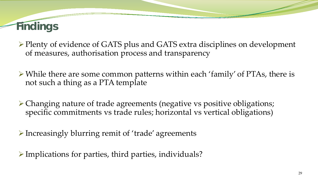# **Findings**

▶ Plenty of evidence of GATS plus and GATS extra disciplines on development of measures, authorisation process and transparency

- While there are some common patterns within each 'family' of PTAs, there is not such a thing as a PTA template
- Changing nature of trade agreements (negative vs positive obligations; specific commitments vs trade rules; horizontal vs vertical obligations)
- Increasingly blurring remit of 'trade' agreements
- $\triangleright$  Implications for parties, third parties, individuals?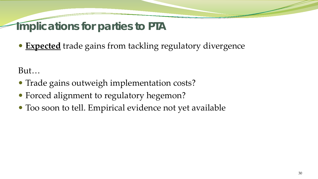#### **Implications for parties to PTA**

**Expected** trade gains from tackling regulatory divergence

But…

- Trade gains outweigh implementation costs?
- Forced alignment to regulatory hegemon?
- Too soon to tell. Empirical evidence not yet available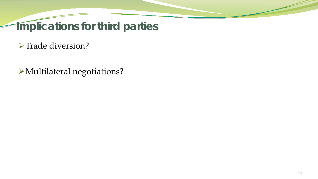**Implications for third parties**

>Trade diversion?

Multilateral negotiations?